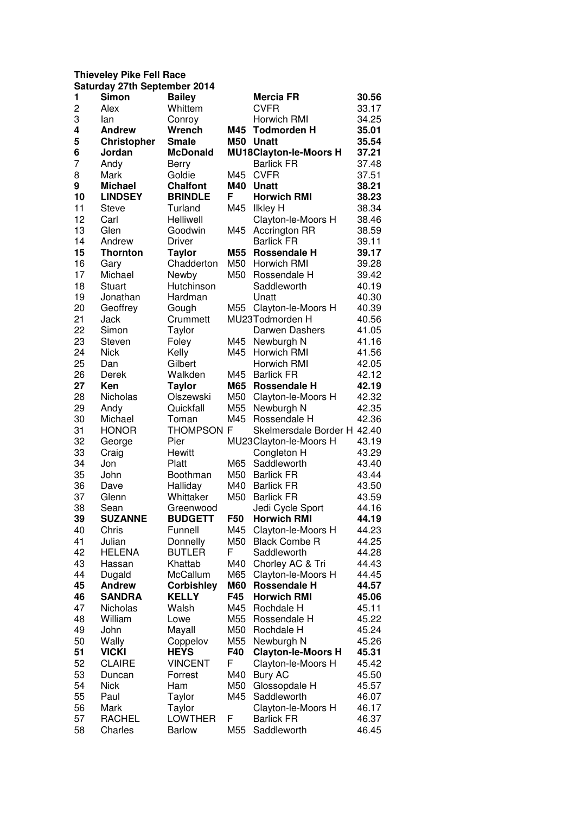## **Thieveley Pike Fell Race**

|                | <b>Saturday 27th September 2014</b> |                   |     |                               |       |
|----------------|-------------------------------------|-------------------|-----|-------------------------------|-------|
| 1              | Simon                               | <b>Bailey</b>     |     | <b>Mercia FR</b>              | 30.56 |
| $\overline{c}$ | Alex                                | Whittem           |     | <b>CVFR</b>                   | 33.17 |
| 3              | lan                                 | Conroy            |     | Horwich RMI                   | 34.25 |
| 4              | <b>Andrew</b>                       | Wrench            | M45 | <b>Todmorden H</b>            | 35.01 |
| 5              | <b>Christopher</b>                  | <b>Smale</b>      |     | M50 Unatt                     | 35.54 |
| 6              | Jordan                              | <b>McDonald</b>   |     | <b>MU18Clayton-le-Moors H</b> | 37.21 |
| 7              | Andy                                | <b>Berry</b>      |     | <b>Barlick FR</b>             | 37.48 |
| 8              | Mark                                | Goldie            | M45 | <b>CVFR</b>                   | 37.51 |
| 9              | <b>Michael</b>                      | <b>Chalfont</b>   | M40 | <b>Unatt</b>                  | 38.21 |
| 10             | <b>LINDSEY</b>                      | <b>BRINDLE</b>    | F   | <b>Horwich RMI</b>            | 38.23 |
| 11             | <b>Steve</b>                        |                   | M45 | <b>Ilkley H</b>               | 38.34 |
| 12             |                                     | Turland           |     |                               |       |
|                | Carl                                | Helliwell         |     | Clayton-le-Moors H            | 38.46 |
| 13             | Glen                                | Goodwin           | M45 | <b>Accrington RR</b>          | 38.59 |
| 14             | Andrew                              | Driver            |     | <b>Barlick FR</b>             | 39.11 |
| 15             | <b>Thornton</b>                     | <b>Taylor</b>     | M55 | <b>Rossendale H</b>           | 39.17 |
| 16             | Gary                                | Chadderton        | M50 | Horwich RMI                   | 39.28 |
| 17             | Michael                             | Newby             | M50 | Rossendale H                  | 39.42 |
| 18             | Stuart                              | Hutchinson        |     | Saddleworth                   | 40.19 |
| 19             | Jonathan                            | Hardman           |     | Unatt                         | 40.30 |
| 20             | Geoffrey                            | Gough             | M55 | Clayton-le-Moors H            | 40.39 |
| 21             | Jack                                | Crummett          |     | MU23Todmorden H               | 40.56 |
| 22             | Simon                               | Taylor            |     | Darwen Dashers                | 41.05 |
| 23             | Steven                              | Foley             | M45 | Newburgh N                    | 41.16 |
| 24             | <b>Nick</b>                         | Kelly             | M45 | Horwich RMI                   | 41.56 |
| 25             | Dan                                 | Gilbert           |     | Horwich RMI                   | 42.05 |
| 26             | Derek                               | Walkden           | M45 | <b>Barlick FR</b>             | 42.12 |
| 27             | Ken                                 | <b>Taylor</b>     | M65 | Rossendale H                  | 42.19 |
| 28             | Nicholas                            | Olszewski         | M50 | Clayton-le-Moors H            | 42.32 |
| 29             | Andy                                | Quickfall         | M55 | Newburgh N                    | 42.35 |
| 30             | Michael                             | Toman             | M45 | Rossendale H                  | 42.36 |
| 31             | <b>HONOR</b>                        | <b>THOMPSON F</b> |     | Skelmersdale Border H 42.40   |       |
| 32             | George                              | Pier              |     | MU23Clayton-le-Moors H        | 43.19 |
| 33             | Craig                               | Hewitt            |     | Congleton H                   | 43.29 |
| 34             | Jon                                 | Platt             | M65 | Saddleworth                   | 43.40 |
| 35             | John                                | Boothman          | M50 | <b>Barlick FR</b>             | 43.44 |
| 36             | Dave                                | Halliday          | M40 | <b>Barlick FR</b>             | 43.50 |
| 37             | Glenn                               | Whittaker         | M50 | <b>Barlick FR</b>             | 43.59 |
| 38             | Sean                                | Greenwood         |     | Jedi Cycle Sport              | 44.16 |
| 39             | <b>SUZANNE</b>                      | <b>BUDGETT</b>    | F50 | <b>Horwich RMI</b>            | 44.19 |
| 40             | Chris                               | Funnell           | M45 | Clayton-le-Moors H            | 44.23 |
| 41             | Julian                              | Donnelly          | M50 | <b>Black Combe R</b>          | 44.25 |
| 42             | <b>HELENA</b>                       | <b>BUTLER</b>     | F   | Saddleworth                   | 44.28 |
| 43             | Hassan                              | Khattab           | M40 | Chorley AC & Tri              | 44.43 |
| 44             | Dugald                              | McCallum          | M65 | Clayton-le-Moors H            | 44.45 |
| 45             | <b>Andrew</b>                       | <b>Corbishley</b> | M60 | <b>Rossendale H</b>           | 44.57 |
| 46             | <b>SANDRA</b>                       | <b>KELLY</b>      | F45 | <b>Horwich RMI</b>            | 45.06 |
| 47             | Nicholas                            | Walsh             | M45 | Rochdale H                    | 45.11 |
| 48             | William                             | Lowe              | M55 | Rossendale H                  | 45.22 |
| 49             | John                                | Mayall            | M50 | Rochdale H                    | 45.24 |
| 50             | Wally                               | Coppelov          | M55 | Newburgh N                    | 45.26 |
| 51             | <b>VICKI</b>                        | <b>HEYS</b>       | F40 | <b>Clayton-le-Moors H</b>     | 45.31 |
| 52             | CLAIRE                              | <b>VINCENT</b>    | F   | Clayton-le-Moors H            | 45.42 |
| 53             | Duncan                              | Forrest           | M40 | <b>Bury AC</b>                | 45.50 |
| 54             | <b>Nick</b>                         | Ham               | M50 | Glossopdale H                 | 45.57 |
| 55             | Paul                                | Taylor            | M45 | Saddleworth                   | 46.07 |
| 56             | Mark                                | Taylor            |     | Clayton-le-Moors H            | 46.17 |
| 57             | <b>RACHEL</b>                       | <b>LOWTHER</b>    | F   | <b>Barlick FR</b>             | 46.37 |
| 58             | Charles                             | <b>Barlow</b>     | M55 | Saddleworth                   | 46.45 |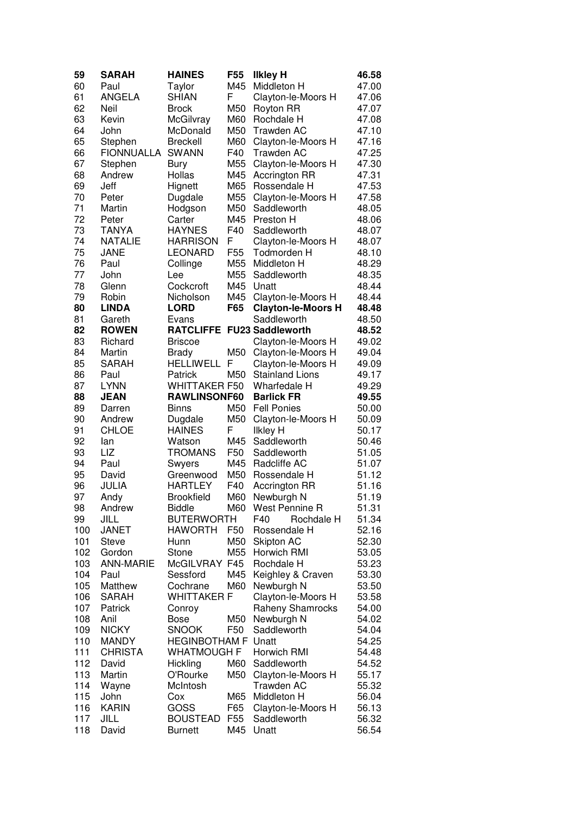| 59         | <b>SARAH</b>     | <b>HAINES</b>               | F <sub>55</sub> | <b>Ilkley H</b>            | 46.58 |
|------------|------------------|-----------------------------|-----------------|----------------------------|-------|
| 60         | Paul             | Taylor                      | M45             | Middleton H                | 47.00 |
| 61         | <b>ANGELA</b>    | <b>SHIAN</b>                | F               | Clayton-le-Moors H         | 47.06 |
| 62         | Neil             | <b>Brock</b>                | M50             | <b>Royton RR</b>           | 47.07 |
| 63         | Kevin            | McGilvray                   | M60             | Rochdale H                 | 47.08 |
| 64         | John             | McDonald                    | M50             | <b>Trawden AC</b>          | 47.10 |
| 65         | Stephen          | <b>Breckell</b>             | M60             | Clayton-le-Moors H         | 47.16 |
| 66         | FIONNUALLA       | <b>SWANN</b>                | F40             | <b>Trawden AC</b>          | 47.25 |
| 67         | Stephen          | <b>Bury</b>                 | M55             | Clayton-le-Moors H         | 47.30 |
| 68         | Andrew           | Hollas                      | M45             | <b>Accrington RR</b>       | 47.31 |
| 69         | Jeff             | Hignett                     | M65             | Rossendale H               | 47.53 |
| 70         | Peter            | Dugdale                     | M55             | Clayton-le-Moors H         | 47.58 |
| 71         | Martin           | Hodgson                     | M50             | Saddleworth                | 48.05 |
| 72         | Peter            | Carter                      | M45             | Preston H                  | 48.06 |
| 73         | <b>TANYA</b>     | <b>HAYNES</b>               | F40             | Saddleworth                | 48.07 |
| 74         | <b>NATALIE</b>   | <b>HARRISON</b>             | F               | Clayton-le-Moors H         | 48.07 |
| 75         | JANE             | <b>LEONARD</b>              | F <sub>55</sub> | Todmorden H                | 48.10 |
| 76         | Paul             | Collinge                    | M55             | Middleton H                | 48.29 |
| 77         | John             | Lee                         | M55             | Saddleworth                | 48.35 |
| 78         | Glenn            | Cockcroft                   | M45             | Unatt                      | 48.44 |
| 79         | Robin            | Nicholson                   | M45             | Clayton-le-Moors H         | 48.44 |
| 80         | <b>LINDA</b>     | <b>LORD</b>                 | F65             | <b>Clayton-le-Moors H</b>  | 48.48 |
| 81         | Gareth           | Evans                       |                 | Saddleworth                | 48.50 |
| 82         | <b>ROWEN</b>     |                             |                 | RATCLIFFE FU23 Saddleworth | 48.52 |
| 83         | Richard          | <b>Briscoe</b>              |                 | Clayton-le-Moors H         | 49.02 |
| 84         | Martin           | <b>Brady</b>                | M50             | Clayton-le-Moors H         | 49.04 |
| 85         | <b>SARAH</b>     | <b>HELLIWELL</b>            | F               | Clayton-le-Moors H         | 49.09 |
| 86         | Paul             | Patrick                     | M50             | <b>Stainland Lions</b>     | 49.17 |
| 87         | <b>LYNN</b>      | <b>WHITTAKER F50</b>        |                 | Wharfedale H               | 49.29 |
| 88         | <b>JEAN</b>      | RAWLINSONF60                |                 | <b>Barlick FR</b>          | 49.55 |
| 89         | Darren           | <b>Binns</b>                | M50             | <b>Fell Ponies</b>         | 50.00 |
| 90         | Andrew           | Dugdale                     | M50             | Clayton-le-Moors H         | 50.09 |
| 91         | CHLOE            | <b>HAINES</b>               | F               | <b>Ilkley H</b>            | 50.17 |
| 92         | lan              | Watson                      | M45             | Saddleworth                | 50.46 |
| 93         | LIZ              | <b>TROMANS</b>              | F50             | Saddleworth                | 51.05 |
| 94         | Paul             | Swyers                      | M45             | Radcliffe AC               | 51.07 |
| 95         | David            | Greenwood                   | M50             | Rossendale H               | 51.12 |
| 96         | JULIA            | <b>HARTLEY</b>              | F40             | <b>Accrington RR</b>       | 51.16 |
| 97         | Andy             | <b>Brookfield</b>           | M60             | Newburgh N                 | 51.19 |
| 98         | Andrew           | <b>Biddle</b>               | M60             | West Pennine R             | 51.31 |
| 99         | JILL             | <b>BUTERWORTH</b>           |                 | F40<br>Rochdale H          | 51.34 |
| 100        | <b>JANET</b>     | <b>HAWORTH</b>              | F <sub>50</sub> | Rossendale H               | 52.16 |
| 101        | <b>Steve</b>     | Hunn                        | M50             | <b>Skipton AC</b>          | 52.30 |
| 102        | Gordon           | Stone                       | M55             | Horwich RMI                | 53.05 |
| 103        | <b>ANN-MARIE</b> | McGILVRAY F45               |                 | Rochdale H                 | 53.23 |
| 104        | Paul             | Sessford                    | M45             | Keighley & Craven          | 53.30 |
| 105        | Matthew          | Cochrane                    | M60             | Newburgh N                 | 53.50 |
| 106        | <b>SARAH</b>     | <b>WHITTAKER F</b>          |                 |                            |       |
| 107        | Patrick          |                             |                 | Clayton-le-Moors H         | 53.58 |
|            |                  | Conroy                      |                 | Raheny Shamrocks           | 54.00 |
| 108        | Anil             | <b>Bose</b><br><b>SNOOK</b> | M50<br>F50      | Newburgh N                 | 54.02 |
| 109        | <b>NICKY</b>     |                             |                 | Saddleworth                | 54.04 |
| 110        | <b>MANDY</b>     | <b>HEGINBOTHAM F</b>        |                 | Unatt                      | 54.25 |
| 111        | <b>CHRISTA</b>   | <b>WHATMOUGH F</b>          | M60             | Horwich RMI<br>Saddleworth | 54.48 |
| 112        | David            | Hickling                    |                 |                            | 54.52 |
| 113        | Martin           | O'Rourke                    | M50             | Clayton-le-Moors H         | 55.17 |
| 114        | Wayne            | McIntosh                    |                 | Trawden AC                 | 55.32 |
| 115<br>116 | John             | Cox                         | M65             | Middleton H                | 56.04 |
|            | <b>KARIN</b>     | GOSS                        | F65             | Clayton-le-Moors H         | 56.13 |
| 117        | JILL             | <b>BOUSTEAD</b>             | F <sub>55</sub> | Saddleworth                | 56.32 |
| 118        | David            | <b>Burnett</b>              | M45             | Unatt                      | 56.54 |